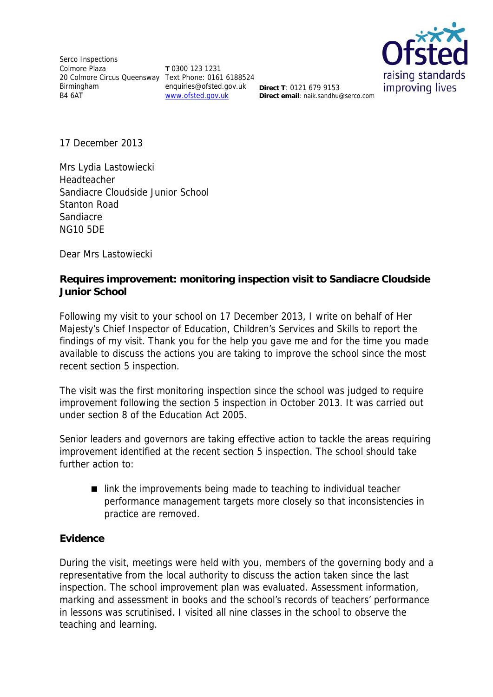Serco Inspections Colmore Plaza 20 Colmore Circus Queensway Text Phone: 0161 6188524 Birmingham B4 6AT

**T** 0300 123 1231 enquiries@ofsted.gov.uk **Direct T**: 0121 679 9153 www.ofsted.gov.uk



**Direct email**: naik.sandhu@serco.com

17 December 2013

Mrs Lydia Lastowiecki Headteacher Sandiacre Cloudside Junior School Stanton Road Sandiacre NG10 5DE

Dear Mrs Lastowiecki

## **Requires improvement: monitoring inspection visit to Sandiacre Cloudside Junior School**

Following my visit to your school on 17 December 2013, I write on behalf of Her Majesty's Chief Inspector of Education, Children's Services and Skills to report the findings of my visit. Thank you for the help you gave me and for the time you made available to discuss the actions you are taking to improve the school since the most recent section 5 inspection.

The visit was the first monitoring inspection since the school was judged to require improvement following the section 5 inspection in October 2013. It was carried out under section 8 of the Education Act 2005.

Senior leaders and governors are taking effective action to tackle the areas requiring improvement identified at the recent section 5 inspection. The school should take further action to:

■ link the improvements being made to teaching to individual teacher performance management targets more closely so that inconsistencies in practice are removed.

## **Evidence**

During the visit, meetings were held with you, members of the governing body and a representative from the local authority to discuss the action taken since the last inspection. The school improvement plan was evaluated. Assessment information, marking and assessment in books and the school's records of teachers' performance in lessons was scrutinised. I visited all nine classes in the school to observe the teaching and learning.